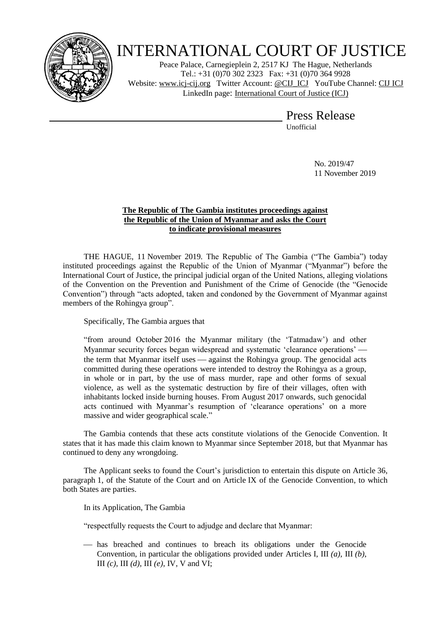

## INTERNATIONAL COURT OF JUSTICE

Peace Palace, Carnegieplein 2, 2517 KJ The Hague, Netherlands Tel.: +31 (0)70 302 2323 Fax: +31 (0)70 364 9928 Website: [www.icj-cij.org](http://www.icj-cij.org/) Twitter Account: [@CIJ\\_ICJ](https://twitter.com/cij_icj) YouTube Channel: [CIJ ICJ](https://www.youtube.com/channel/UC28oiS6IwkVvWL7kLH1-QPg) LinkedIn page: [International Court of Justice \(ICJ\)](https://www.linkedin.com/company/international-court-of-justice/)

## Press Release

Unofficial

No. 2019/47 11 November 2019

## **The Republic of The Gambia institutes proceedings against the Republic of the Union of Myanmar and asks the Court to indicate provisional measures**

THE HAGUE, 11 November 2019. The Republic of The Gambia ("The Gambia") today instituted proceedings against the Republic of the Union of Myanmar ("Myanmar") before the International Court of Justice, the principal judicial organ of the United Nations, alleging violations of the Convention on the Prevention and Punishment of the Crime of Genocide (the "Genocide Convention") through "acts adopted, taken and condoned by the Government of Myanmar against members of the Rohingya group".

Specifically, The Gambia argues that

"from around October 2016 the Myanmar military (the 'Tatmadaw') and other Myanmar security forces began widespread and systematic 'clearance operations' the term that Myanmar itself uses — against the Rohingya group. The genocidal acts committed during these operations were intended to destroy the Rohingya as a group, in whole or in part, by the use of mass murder, rape and other forms of sexual violence, as well as the systematic destruction by fire of their villages, often with inhabitants locked inside burning houses. From August 2017 onwards, such genocidal acts continued with Myanmar's resumption of 'clearance operations' on a more massive and wider geographical scale."

The Gambia contends that these acts constitute violations of the Genocide Convention. It states that it has made this claim known to Myanmar since September 2018, but that Myanmar has continued to deny any wrongdoing.

The Applicant seeks to found the Court's jurisdiction to entertain this dispute on Article 36, paragraph 1, of the Statute of the Court and on Article IX of the Genocide Convention, to which both States are parties.

In its Application, The Gambia

"respectfully requests the Court to adjudge and declare that Myanmar:

 has breached and continues to breach its obligations under the Genocide Convention, in particular the obligations provided under Articles I, III *(a)*, III *(b)*, III *(c)*, III *(d)*, III *(e)*, IV, V and VI;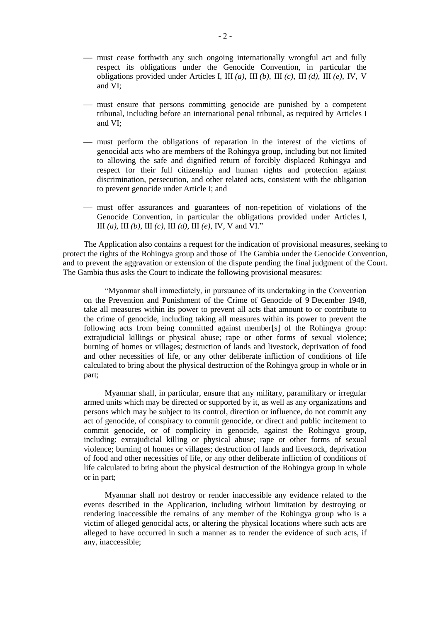- must cease forthwith any such ongoing internationally wrongful act and fully respect its obligations under the Genocide Convention, in particular the obligations provided under Articles I, III *(a)*, III *(b)*, III *(c)*, III *(d)*, III *(e)*, IV, V and VI;
- must ensure that persons committing genocide are punished by a competent tribunal, including before an international penal tribunal, as required by Articles I and VI;
- must perform the obligations of reparation in the interest of the victims of genocidal acts who are members of the Rohingya group, including but not limited to allowing the safe and dignified return of forcibly displaced Rohingya and respect for their full citizenship and human rights and protection against discrimination, persecution, and other related acts, consistent with the obligation to prevent genocide under Article I; and
- must offer assurances and guarantees of non-repetition of violations of the Genocide Convention, in particular the obligations provided under Articles I, III *(a)*, III *(b)*, III *(c)*, III *(d)*, III *(e)*, IV, V and VI."

The Application also contains a request for the indication of provisional measures, seeking to protect the rights of the Rohingya group and those of The Gambia under the Genocide Convention, and to prevent the aggravation or extension of the dispute pending the final judgment of the Court. The Gambia thus asks the Court to indicate the following provisional measures:

"Myanmar shall immediately, in pursuance of its undertaking in the Convention on the Prevention and Punishment of the Crime of Genocide of 9 December 1948, take all measures within its power to prevent all acts that amount to or contribute to the crime of genocide, including taking all measures within its power to prevent the following acts from being committed against member[s] of the Rohingya group: extrajudicial killings or physical abuse; rape or other forms of sexual violence; burning of homes or villages; destruction of lands and livestock, deprivation of food and other necessities of life, or any other deliberate infliction of conditions of life calculated to bring about the physical destruction of the Rohingya group in whole or in part;

Myanmar shall, in particular, ensure that any military, paramilitary or irregular armed units which may be directed or supported by it, as well as any organizations and persons which may be subject to its control, direction or influence, do not commit any act of genocide, of conspiracy to commit genocide, or direct and public incitement to commit genocide, or of complicity in genocide, against the Rohingya group, including: extrajudicial killing or physical abuse; rape or other forms of sexual violence; burning of homes or villages; destruction of lands and livestock, deprivation of food and other necessities of life, or any other deliberate infliction of conditions of life calculated to bring about the physical destruction of the Rohingya group in whole or in part;

Myanmar shall not destroy or render inaccessible any evidence related to the events described in the Application, including without limitation by destroying or rendering inaccessible the remains of any member of the Rohingya group who is a victim of alleged genocidal acts, or altering the physical locations where such acts are alleged to have occurred in such a manner as to render the evidence of such acts, if any, inaccessible;